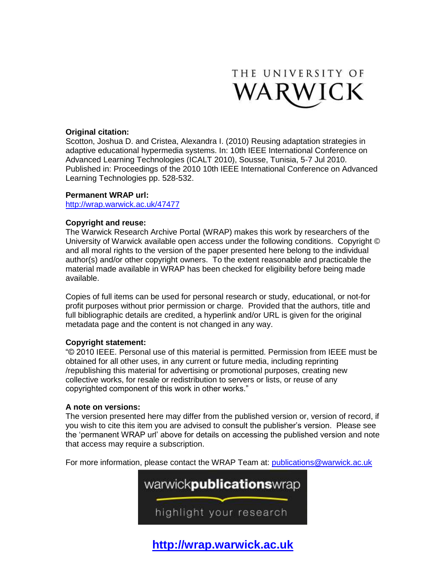

# **Original citation:**

Scotton, Joshua D. and Cristea, Alexandra I. (2010) Reusing adaptation strategies in adaptive educational hypermedia systems. In: 10th IEEE International Conference on Advanced Learning Technologies (ICALT 2010), Sousse, Tunisia, 5-7 Jul 2010. Published in: Proceedings of the 2010 10th IEEE International Conference on Advanced Learning Technologies pp. 528-532.

## **Permanent WRAP url:**

<http://wrap.warwick.ac.uk/47477>

# **Copyright and reuse:**

The Warwick Research Archive Portal (WRAP) makes this work by researchers of the University of Warwick available open access under the following conditions. Copyright © and all moral rights to the version of the paper presented here belong to the individual author(s) and/or other copyright owners. To the extent reasonable and practicable the material made available in WRAP has been checked for eligibility before being made available.

Copies of full items can be used for personal research or study, educational, or not-for profit purposes without prior permission or charge. Provided that the authors, title and full bibliographic details are credited, a hyperlink and/or URL is given for the original metadata page and the content is not changed in any way.

# **Copyright statement:**

"© 2010 IEEE. Personal use of this material is permitted. Permission from IEEE must be obtained for all other uses, in any current or future media, including reprinting /republishing this material for advertising or promotional purposes, creating new collective works, for resale or redistribution to servers or lists, or reuse of any copyrighted component of this work in other works."

# **A note on versions:**

The version presented here may differ from the published version or, version of record, if you wish to cite this item you are advised to consult the publisher's version. Please see the 'permanent WRAP url' above for details on accessing the published version and note that access may require a subscription.

For more information, please contact the WRAP Team at: [publications@warwick.ac.uk](mailto:publications@warwick.ac.uk)



**[http://wrap.warwick.ac.uk](http://wrap.warwick.ac.uk/)**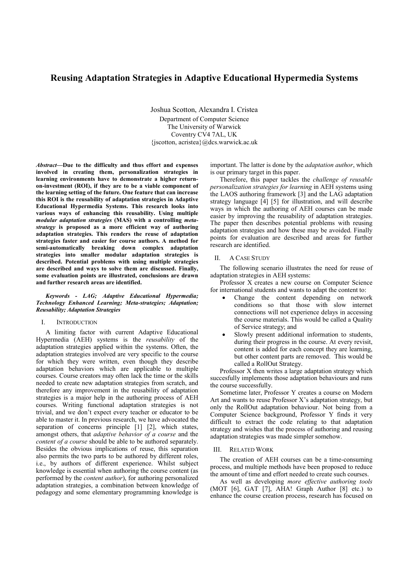# Reusing Adaptation Strategies in Adaptive Educational Hypermedia Systems

Joshua Scotton, Alexandra I. Cristea Department of Computer Science The University of Warwick Coventry CV4 7AL, UK {jscotton, acristea}@dcs.warwick.ac.uk

Abstract—Due to the difficulty and thus effort and expenses involved in creating them, personalization strategies in learning environments have to demonstrate a higher returnon-investment (ROI), if they are to be a viable component of the learning setting of the future. One feature that can increase this ROI is the reusability of adaptation strategies in Adaptive Educational Hypermedia Systems. This research looks into various ways of enhancing this reusability. Using multiple modular adaptation strategies (MAS) with a controlling metastrategy is proposed as a more efficient way of authoring adaptation strategies. This renders the reuse of adaptation strategies faster and easier for course authors. A method for semi-automatically breaking down complex adaptation strategies into smaller modular adaptation strategies is described. Potential problems with using multiple strategies are described and ways to solve them are discussed. Finally, some evaluation points are illustrated, conclusions are drawn and further research areas are identified.

## Keywords - LAG; Adaptive Educational Hypermedia; Technology Enhanced Learning; Meta-strategies; Adaptation; Reusability; Adaptation Strategies

## I. INTRODUCTION

A limiting factor with current Adaptive Educational Hypermedia (AEH) systems is the reusability of the adaptation strategies applied within the systems. Often, the adaptation strategies involved are very specific to the course for which they were written, even though they describe adaptation behaviors which are applicable to multiple courses. Course creators may often lack the time or the skills needed to create new adaptation strategies from scratch, and therefore any improvement in the reusability of adaptation strategies is a major help in the authoring process of AEH courses. Writing functional adaptation strategies is not trivial, and we don't expect every teacher or educator to be able to master it. In previous research, we have advocated the separation of concerns principle [1] [2], which states, amongst others, that adaptive behavior of a course and the content of a course should be able to be authored separately. Besides the obvious implications of reuse, this separation also permits the two parts to be authored by different roles, i.e., by authors of different experience. Whilst subject knowledge is essential when authoring the course content (as performed by the content author), for authoring personalized adaptation strategies, a combination between knowledge of pedagogy and some elementary programming knowledge is

important. The latter is done by the adaptation author, which is our primary target in this paper.

Therefore, this paper tackles the challenge of reusable personalization strategies for learning in AEH systems using the LAOS authoring framework [3] and the LAG adaptation strategy language [4] [5] for illustration, and will describe ways in which the authoring of AEH courses can be made easier by improving the reusability of adaptation strategies. The paper then describes potential problems with reusing adaptation strategies and how these may be avoided. Finally points for evaluation are described and areas for further research are identified.

## II. A CASE STUDY

The following scenario illustrates the need for reuse of adaptation strategies in AEH systems:

Professor X creates a new course on Computer Science for international students and wants to adapt the content to:

- Change the content depending on network conditions so that those with slow internet connections will not experience delays in accessing the course materials. This would be called a Quality of Service strategy; and
- Slowly present additional information to students, during their progress in the course. At every revisit, content is added for each concept they are learning, but other content parts are removed. This would be called a RollOut Strategy.

Professor X then writes a large adaptation strategy which succesfully implements those adaptation behaviours and runs the course successfully.

Sometime later, Professor Y creates a course on Modern Art and wants to reuse Professor X's adaptation strategy, but only the RollOut adaptation behaviour. Not being from a Computer Science background, Professor Y finds it very difficult to extract the code relating to that adaptation strategy and wishes that the process of authoring and reusing adaptation strategies was made simpler somehow.

## III. RELATED WORK

The creation of AEH courses can be a time-consuming process, and multiple methods have been proposed to reduce the amount of time and effort needed to create such courses.

As well as developing more effective authoring tools (MOT [6], GAT [7], AHA! Graph Author [8] etc.) to enhance the course creation process, research has focused on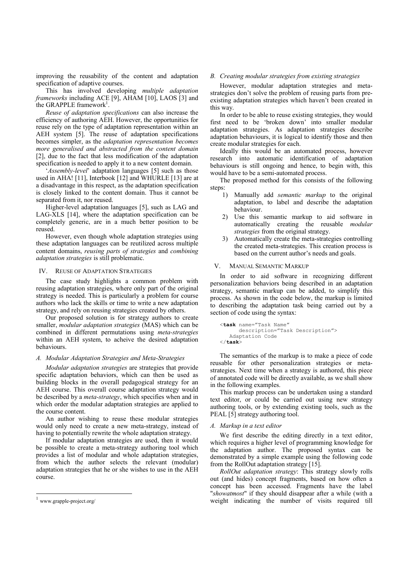improving the reusability of the content and adaptation specification of adaptive courses.

This has involved developing multiple adaptation frameworks including ACE [9], AHAM [10], LAOS [3] and the GRAPPLE framework<sup>1</sup>.

Reuse of adaptation specifications can also increase the efficiency of authoring AEH. However, the opportunities for reuse rely on the type of adaptation representation within an AEH system [5]. The reuse of adaptation specifications becomes simpler, as the adaptation representation becomes more generalised and abstracted from the content domain [2], due to the fact that less modification of the adaptation specification is needed to apply it to a new content domain.

'Assembly-level' adaptation languages [5] such as those used in AHA! [11], Interbook [12] and WHURLE [13] are at a disadvantage in this respect, as the adaptation specification is closely linked to the content domain. Thus it cannot be separated from it, nor reused.

Higher-level adaptation languages [5], such as LAG and LAG-XLS [14], where the adaptation specification can be completely generic, are in a much better position to be reused.

However, even though whole adaptation strategies using these adaptation languages can be reutilized across multiple content domains, reusing parts of strategies and combining adaptation strategies is still problematic.

### IV. REUSE OF ADAPTATION STRATEGIES

The case study highlights a common problem with reusing adaptation strategies, where only part of the original strategy is needed. This is particularly a problem for course authors who lack the skills or time to write a new adaptation strategy, and rely on reusing strategies created by others.

Our proposed solution is for strategy authors to create smaller, *modular adaptation strategies* (MAS) which can be combined in different permutations using meta-strategies within an AEH system, to acheive the desired adaptation behaviours.

## A. Modular Adaptation Strategies and Meta-Strategies

Modular adaptation strategies are strategies that provide specific adaptation behaviors, which can then be used as building blocks in the overall pedagogical strategy for an AEH course. This overall course adaptation strategy would be described by a meta-strategy, which specifies when and in which order the modular adaptation strategies are applied to the course content.

An author wishing to reuse these modular strategies would only need to create a new meta-strategy, instead of having to potentially rewrite the whole adaptation strategy.

If modular adaptation strategies are used, then it would be possible to create a meta-strategy authoring tool which provides a list of modular and whole adaptation strategies, from which the author selects the relevant (modular) adaptation strategies that he or she wishes to use in the AEH course.

 $\overline{a}$ 

## B. Creating modular strategies from existing strategies

However, modular adaptation strategies and metastrategies don't solve the problem of reusing parts from preexisting adaptation strategies which haven't been created in this way.

In order to be able to reuse existing strategies, they would first need to be 'broken down' into smaller modular adaptation strategies. As adaptation strategies describe adaptation behaviours, it is logical to identify those and then create modular strategies for each.

Ideally this would be an automated process, however research into automatic identification of adaptation behaviours is still ongoing and hence, to begin with, this would have to be a semi-automated process.

The proposed method for this consists of the following steps:

- 1) Manually add semantic markup to the original adaptation, to label and describe the adaptation behaviour.
- 2) Use this semantic markup to aid software in automatically creating the reusable modular strategies from the original strategy.
- 3) Automatically create the meta-strategies controlling the created meta-strategies. This creation process is based on the current author's needs and goals.

## V. MANUAL SEMANTIC MARKUP

In order to aid software in recognizing different personalization behaviors being described in an adaptation strategy, semantic markup can be added, to simplify this process. As shown in the code below, the markup is limited to describing the adaptation task being carried out by a section of code using the syntax:

```
<task name="Task Name"
       description="Task Description"> 
    Adaptation Code 
\langle / task>
```
The semantics of the markup is to make a piece of code reusable for other personalization strategies or metastrategies. Next time when a strategy is authored, this piece of annotated code will be directly available, as we shall show in the following examples.

This markup process can be undertaken using a standard text editor, or could be carried out using new strategy authoring tools, or by extending existing tools, such as the PEAL [5] strategy authoring tool.

## A. Markup in a text editor

We first describe the editing directly in a text editor, which requires a higher level of programming knowledge for the adaptation author. The proposed syntax can be demonstrated by a simple example using the following code from the RollOut adaptation strategy [15].

RollOut adaptation strategy: This strategy slowly rolls out (and hides) concept fragments, based on how often a concept has been accessed. Fragments have the label "showatmost" if they should disappear after a while (with a weight indicating the number of visits required till

<sup>1</sup> www.grapple-project.org/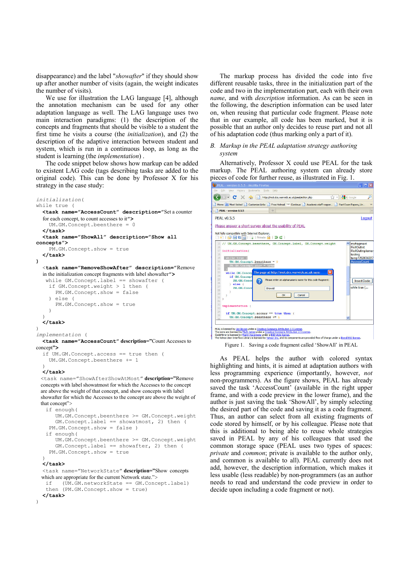disappearance) and the label "showafter" if they should show up after another number of visits (again, the weight indicates the number of visits).

We use for illustration the LAG language [4], although the annotation mechanism can be used for any other adaptation language as well. The LAG language uses two main interaction paradigms: (1) the description of the concepts and fragments that should be visible to a student the first time he visits a course (the initialization), and (2) the description of the adaptive interaction between student and system, which is run in a continuous loop, as long as the student is learning (the implementation) .

The code snippet below shows how markup can be added to existent LAG code (tags describing tasks are added to the original code). This can be done by Professor X for his strategy in the case study:

```
initialization(
while true ( 
   <task name="AccessCount" description="Set a counter 
   for each concept, to count accesses to it"> 
      UM.GM.Concept.beenthere = 0 
   </task> 
   <task name="ShowAll" description="Show all 
concepts">
     PM.GM.Concept.show = true 
   </task> 
\lambda <task name="RemoveShowAfter" description="Remove 
   in the initialization concept fragments with label showafter">
    while GM.Concept.label == showafter ( 
     if GM.Concept.weight > 1 then ( 
        PM.GM.Concept.show = false 
     ) else ( 
        PM.GM.Concept.show = true 
     ) 
  \lambda </task> 
)implementation ( 
  -<br><task name="AccessCount" description="Count Accesses to
concept"> 
   if UM.GM.Concept.access == true then ( 
     UM.GM.Concept.beenthere += 1 
 ) 
   </task> 
 <task name="ShowAfterShowAtMost" description="Remove 
 concepts with label showatmost for which the Accesses to the concept 
 are above the weight of that concept, and show concepts with label 
 showafter for which the Accesses to the concept are above the weight of 
 that concept"> 
    if enough( 
        UM.GM.Concept.beenthere >= GM.Concept.weight 
        GM.Concept.label == showatmost, 2) then ( 
     PM.GM.Concept.show = false ) 
    if enough( 
        UM.GM.Concept.beenthere >= GM.Concept.weight 
        GM.Concept.label == showafter, 2) then ( 
     PM.GM.Concept.show = true 
\rightarrow\overline{\langle}/task>
   <task name="NetworkState" description="Show concepts 
  which are appropriate for the current Network state.">
    if (UM.GM.networkState == GM.Concept.label) 
    then (PM.GM.Concept.show = true)
```
 $2$ /task $>$ 

 $\lambda$ 

The markup process has divided the code into five different reusable tasks, three in the initialization part of the code and two in the implementation part, each with their own name, and with description information. As can be seen in the following, the description information can be used later on, when reusing that particular code fragment. Please note that in our example, all code has been marked, but it is possible that an author only decides to reuse part and not all of his adaptation code (thus marking only a part of it).

## B. Markup in the PEAL adaptation strategy authoring system

Alternatively, Professor X could use PEAL for the task markup. The PEAL authoring system can already store pieces of code for further reuse, as illustrated in Fig. 1.



Figure 1. Saving a code fragment called 'ShowAll' in PEAL

As PEAL helps the author with colored syntax highlighting and hints, it is aimed at adaptation authors with less programming experience (importantly, however, not non-programmers). As the figure shows, PEAL has already saved the task 'AccessCount' (available in the right upper frame, and with a code preview in the lower frame), and the author is just saving the task 'ShowAll', by simply selecting the desired part of the code and saving it as a code fragment. Thus, an author can select from all existing fragments of code stored by himself, or by his colleague. Please note that this is additional to being able to reuse whole strategies saved in PEAL by any of his colleagues that used the common storage space (PEAL uses two types of spaces: private and common; private is available to the author only, and common is available to all). PEAL currently does not add, however, the description information, which makes it less usable (less readable) by non-programmers (as an author needs to read and understand the code preview in order to decide upon including a code fragment or not).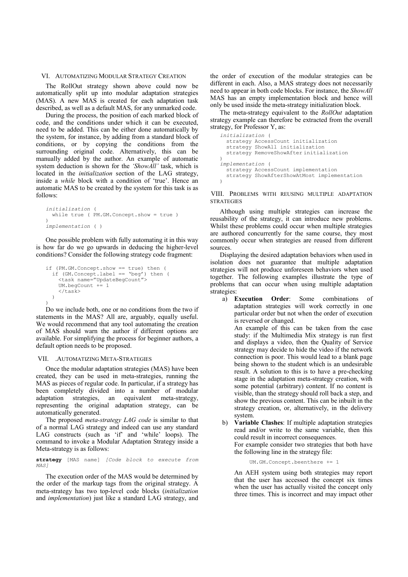### VI. AUTOMATIZING MODULAR STRATEGY CREATION

The RollOut strategy shown above could now be automatically split up into modular adaptation strategies (MAS). A new MAS is created for each adaptation task described, as well as a default MAS, for any unmarked code.

During the process, the position of each marked block of code, and the conditions under which it can be executed, need to be added. This can be either done automatically by the system, for instance, by adding from a standard block of conditions, or by copying the conditions from the surrounding original code. Alternatively, this can be manually added by the author. An example of automatic system deduction is shown for the 'ShowAll' task, which is located in the initialization section of the LAG strategy, inside a while block with a condition of 'true'. Hence an automatic MAS to be created by the system for this task is as follows:

```
initialization ( 
  while true ( PM.GM.Concept.show = true ) 
)implementation ( )
```
One possible problem with fully automating it in this way is how far do we go upwards in deducing the higher-level conditions? Consider the following strategy code fragment:

```
if (PM.GM.Concept.show == true) then ( 
 if (GM.Concept.label == 'beg') then ( 
 <task name="UpdateBegCount"> 
     UM.begCount += 1 
    \langle/task>
  \lambda)
```
Do we include both, one or no conditions from the two if statements in the MAS? All are, arguably, equally useful. We would recommend that any tool automating the creation of MAS should warn the author if different options are available. For simplifying the process for beginner authors, a default option needs to be proposed.

#### VII. .AUTOMATIZING META-STRATEGIES

Once the modular adaptation strategies (MAS) have been created, they can be used in meta-strategies, running the MAS as pieces of regular code. In particular, if a strategy has been completely divided into a number of modular adaptation strategies, an equivalent meta-strategy, representing the original adaptation strategy, can be automatically generated.

The proposed *meta-strategy LAG code* is similar to that of a normal LAG strategy and indeed can use any standard LAG constructs (such as 'if' and 'while' loops). The command to invoke a Modular Adaptation Strategy inside a Meta-strategy is as follows:

strategy [MAS name] [Code block to execute from MAS]

The execution order of the MAS would be determined by the order of the markup tags from the original strategy. A meta-strategy has two top-level code blocks (initialization and implementation) just like a standard LAG strategy, and

the order of execution of the modular strategies can be different in each. Also, a MAS strategy does not necessarily need to appear in both code blocks. For instance, the ShowAll MAS has an empty implementation block and hence will only be used inside the meta-strategy initialization block.

The meta-strategy equivalent to the *RollOut* adaptation strategy example can therefore be extracted from the overall strategy, for Professor Y, as:

```
initialization ( 
   strategy AccessCount initialization 
 strategy ShowAll initialization 
 strategy RemoveShowAfter initialization 
)implementation ( 
   strategy AccessCount implementation 
  strategy ShowAfterShowAtMost implementation 
)
```
VIII. PROBLEMS WITH REUSING MULTIPLE ADAPTATION **STRATEGIES** 

Although using multiple strategies can increase the reusability of the strategy, it can introduce new problems. Whilst these problems could occur when multiple strategies are authored concurrently for the same course, they most commonly occur when strategies are reused from different sources.

Displaying the desired adaptation behaviors when used in isolation does not guarantee that multiple adaptation strategies will not produce unforeseen behaviors when used together. The following examples illustrate the type of problems that can occur when using multiple adaptation strategies:

a) Execution Order: Some combinations of adaptation strategies will work correctly in one particular order but not when the order of execution is reversed or changed.

An example of this can be taken from the case study: if the Multimedia Mix strategy is run first and displays a video, then the Quality of Service strategy may decide to hide the video if the network connection is poor. This would lead to a blank page being shown to the student which is an undesirable result. A solution to this is to have a pre-checking stage in the adaptation meta-strategy creation, with some potential (arbitrary) content. If no content is visible, than the strategy should roll back a step, and show the previous content. This can be inbuilt in the strategy creation, or, alternatively, in the delivery system.

b) Variable Clashes: If multiple adaptation strategies read and/or write to the same variable, then this could result in incorrect consequences. For example consider two strategies that both have the following line in the strategy file:

UM.GM.Concept.beenthere += 1

An AEH system using both strategies may report that the user has accessed the concept six times when the user has actually visited the concept only three times. This is incorrect and may impact other